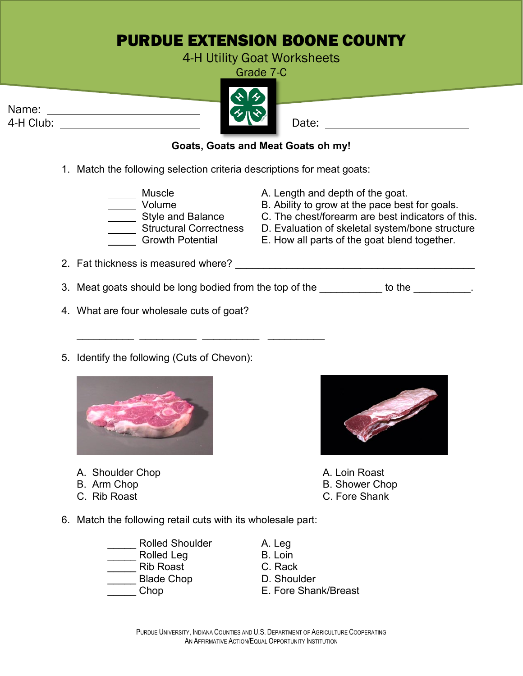## PURDUE EXTENSION BOONE COUNTY

## 4-H Utility Goat Worksheets

Grade 7-C





## **Goats, Goats and Meat Goats oh my!**

1. Match the following selection criteria descriptions for meat goats:

\_\_\_\_\_\_\_\_\_\_ \_\_\_\_\_\_\_\_\_\_ \_\_\_\_\_\_\_\_\_\_ \_\_\_\_\_\_\_\_\_\_

- \_\_ Muscle A. Length and depth of the goat.<br>\_\_ Volume B. Ability to grow at the pace hes \_ Volume B. Ability to grow at the pace best for goals.<br>\_ Style and Balance C. The chest/forearm are best indicators of t
	-
	-
	- Style and Balance C. The chest/forearm are best indicators of this.<br>Structural Correctness D. Evaluation of skeletal system/bone structure
	- Structural Correctness D. Evaluation of skeletal system/bone structure<br>Growth Potential E. How all parts of the goat blend together.
		- E. How all parts of the goat blend together.
- 2. Fat thickness is measured where? **We are all the contract of the contract of the contract of the contract of the contract of the contract of the contract of the contract of the contract of the contract of the contract o**
- 3. Meat goats should be long bodied from the top of the to the to the to the to the to the to the to the to the
- 4. What are four wholesale cuts of goat?
- 5. Identify the following (Cuts of Chevon):



- A. Shoulder Chop A. Loin Roast
- 
- 



- 
- **B. Shower Chop**
- C. Rib Roast C. Fore Shank
- 6. Match the following retail cuts with its wholesale part:
	- Rolled Shoulder **A. Leg** Rolled Leg B. Loin \_\_\_\_\_ Rib Roast C. Rack Blade Chop
	-
- 
- 
- 
- \_\_\_\_\_ Chop E. Fore Shank/Breast